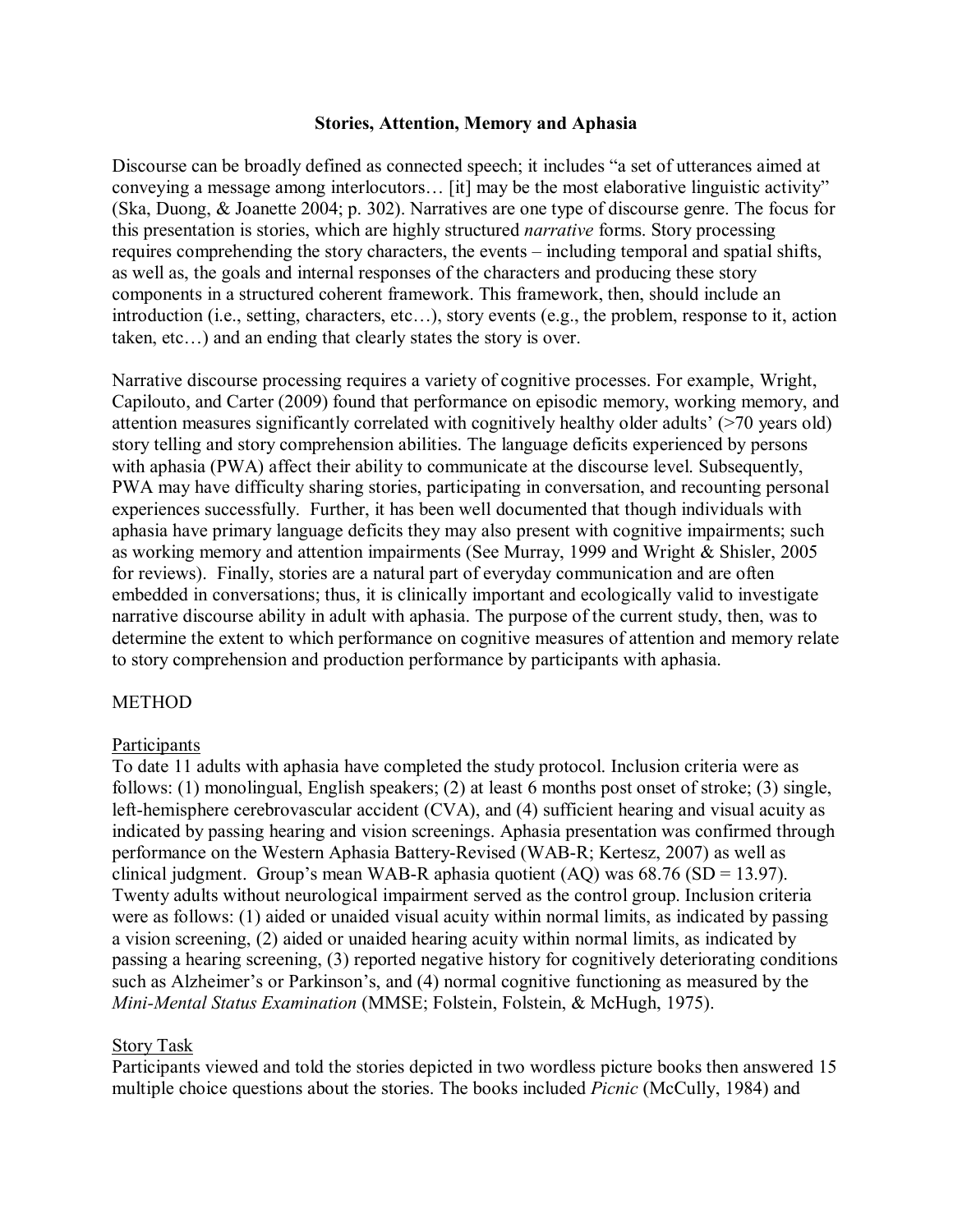#### **Stories, Attention, Memory and Aphasia**

Discourse can be broadly defined as connected speech; it includes "a set of utterances aimed at conveying a message among interlocutors... [it] may be the most elaborative linguistic activity" (Ska, Duong, & Joanette 2004; p. 302). Narratives are one type of discourse genre. The focus for this presentation is stories, which are highly structured *narrative* forms. Story processing requires comprehending the story characters, the events – including temporal and spatial shifts, as well as, the goals and internal responses of the characters and producing these story components in a structured coherent framework. This framework, then, should include an introduction (i.e., setting, characters, etc...), story events (e.g., the problem, response to it, action taken,  $etc...$ ) and an ending that clearly states the story is over.

Narrative discourse processing requires a variety of cognitive processes. For example, Wright, Capilouto, and Carter (2009) found that performance on episodic memory, working memory, and attention measures significantly correlated with cognitively healthy older adults  $\geq 70$  years old) story telling and story comprehension abilities. The language deficits experienced by persons with aphasia (PWA) affect their ability to communicate at the discourse level. Subsequently, PWA may have difficulty sharing stories, participating in conversation, and recounting personal experiences successfully. Further, it has been well documented that though individuals with aphasia have primary language deficits they may also present with cognitive impairments; such as working memory and attention impairments (See Murray, 1999 and Wright & Shisler, 2005 for reviews). Finally, stories are a natural part of everyday communication and are often embedded in conversations; thus, it is clinically important and ecologically valid to investigate narrative discourse ability in adult with aphasia. The purpose of the current study, then, was to determine the extent to which performance on cognitive measures of attention and memory relate to story comprehension and production performance by participants with aphasia.

#### METHOD

#### Participants

To date 11 adults with aphasia have completed the study protocol. Inclusion criteria were as follows: (1) monolingual, English speakers; (2) at least 6 months post onset of stroke; (3) single, left-hemisphere cerebrovascular accident (CVA), and (4) sufficient hearing and visual acuity as indicated by passing hearing and vision screenings. Aphasia presentation was confirmed through performance on the Western Aphasia Battery-Revised (WAB-R; Kertesz, 2007) as well as clinical judgment. Group's mean WAB-R aphasia quotient  $(AQ)$  was  $68.76$   $(SD = 13.97)$ . Twenty adults without neurological impairment served as the control group. Inclusion criteria were as follows: (1) aided or unaided visual acuity within normal limits, as indicated by passing a vision screening, (2) aided or unaided hearing acuity within normal limits, as indicated by passing a hearing screening, (3) reported negative history for cognitively deteriorating conditions such as Alzheimer's or Parkinson's, and (4) normal cognitive functioning as measured by the *Mini-Mental Status Examination* (MMSE; Folstein, Folstein, & McHugh, 1975).

#### Story Task

Participants viewed and told the stories depicted in two wordless picture books then answered 15 multiple choice questions about the stories. The books included *Picnic* (McCully, 1984) and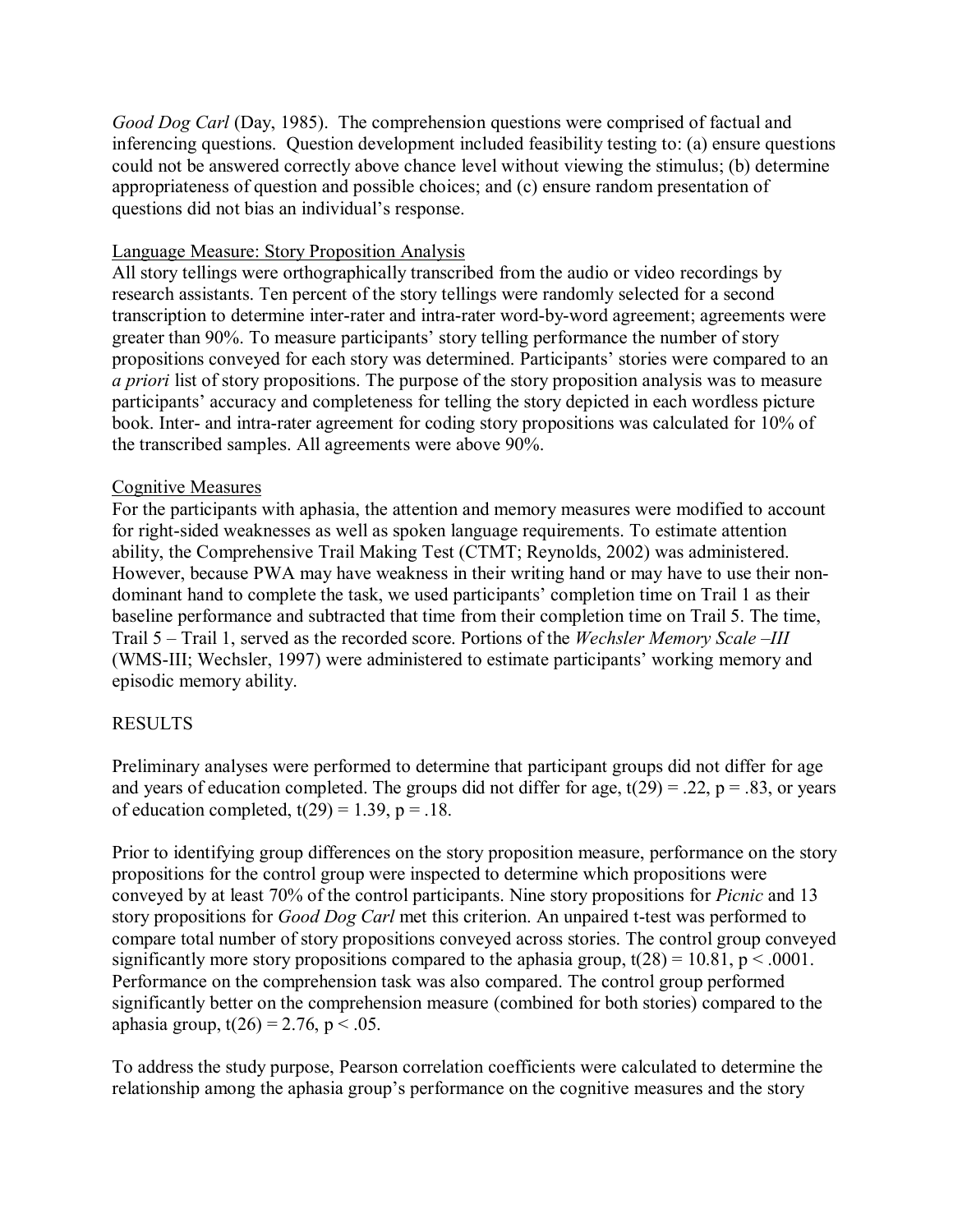*Good Dog Carl* (Day, 1985). The comprehension questions were comprised of factual and inferencing questions. Question development included feasibility testing to: (a) ensure questions could not be answered correctly above chance level without viewing the stimulus; (b) determine appropriateness of question and possible choices; and (c) ensure random presentation of questions did not bias an individual's response.

# Language Measure: Story Proposition Analysis

All story tellings were orthographically transcribed from the audio or video recordings by research assistants. Ten percent of the story tellings were randomly selected for a second transcription to determine inter-rater and intra-rater word-by-word agreement; agreements were greater than 90%. To measure participants' story telling performance the number of story propositions conveyed for each story was determined. Participants' stories were compared to an *a priori* list of story propositions. The purpose of the story proposition analysis was to measure participants' accuracy and completeness for telling the story depicted in each wordless picture book. Inter- and intra-rater agreement for coding story propositions was calculated for 10% of the transcribed samples. All agreements were above 90%.

## Cognitive Measures

For the participants with aphasia, the attention and memory measures were modified to account for right-sided weaknesses as well as spoken language requirements. To estimate attention ability, the Comprehensive Trail Making Test (CTMT; Reynolds, 2002) was administered. However, because PWA may have weakness in their writing hand or may have to use their nondominant hand to complete the task, we used participants' completion time on Trail 1 as their baseline performance and subtracted that time from their completion time on Trail 5. The time, Trail 5 – Trail 1, served as the recorded score. Portions of the *Wechsler Memory Scale –III* (WMS-III; Wechsler, 1997) were administered to estimate participants' working memory and episodic memory ability.

# RESULTS

Preliminary analyses were performed to determine that participant groups did not differ for age and years of education completed. The groups did not differ for age,  $t(29) = .22$ ,  $p = .83$ , or years of education completed,  $t(29) = 1.39$ ,  $p = .18$ .

Prior to identifying group differences on the story proposition measure, performance on the story propositions for the control group were inspected to determine which propositions were conveyed by at least 70% of the control participants. Nine story propositions for *Picnic* and 13 story propositions for *Good Dog Carl* met this criterion. An unpaired t-test was performed to compare total number of story propositions conveyed across stories. The control group conveyed significantly more story propositions compared to the aphasia group,  $t(28) = 10.81$ ,  $p < .0001$ . Performance on the comprehension task was also compared. The control group performed significantly better on the comprehension measure (combined for both stories) compared to the aphasia group,  $t(26) = 2.76$ ,  $p < .05$ .

To address the study purpose, Pearson correlation coefficients were calculated to determine the relationship among the aphasia group's performance on the cognitive measures and the story